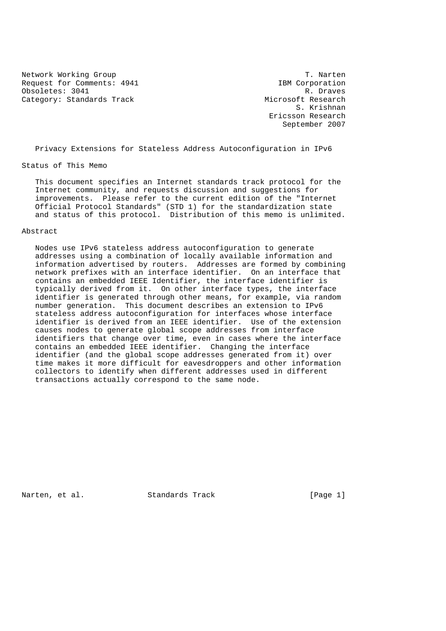Network Working Group T. Narten Request for Comments: 4941 IBM Corporation Obsoletes: 3041 R. Draves<br>Category: Standards Track Category: Standards Track Category: Standards Track

 S. Krishnan Ericsson Research September 2007

Privacy Extensions for Stateless Address Autoconfiguration in IPv6

Status of This Memo

 This document specifies an Internet standards track protocol for the Internet community, and requests discussion and suggestions for improvements. Please refer to the current edition of the "Internet Official Protocol Standards" (STD 1) for the standardization state and status of this protocol. Distribution of this memo is unlimited.

#### Abstract

 Nodes use IPv6 stateless address autoconfiguration to generate addresses using a combination of locally available information and information advertised by routers. Addresses are formed by combining network prefixes with an interface identifier. On an interface that contains an embedded IEEE Identifier, the interface identifier is typically derived from it. On other interface types, the interface identifier is generated through other means, for example, via random number generation. This document describes an extension to IPv6 stateless address autoconfiguration for interfaces whose interface identifier is derived from an IEEE identifier. Use of the extension causes nodes to generate global scope addresses from interface identifiers that change over time, even in cases where the interface contains an embedded IEEE identifier. Changing the interface identifier (and the global scope addresses generated from it) over time makes it more difficult for eavesdroppers and other information collectors to identify when different addresses used in different transactions actually correspond to the same node.

Narten, et al. Standards Track [Page 1]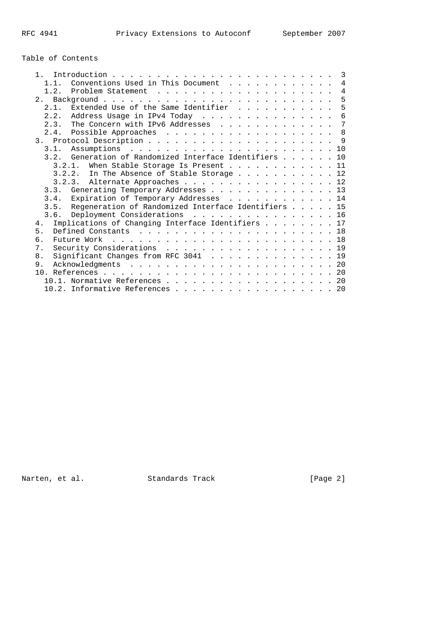# Table of Contents

| $\mathbf{1}$                                                        |  | $\mathcal{E}$ |
|---------------------------------------------------------------------|--|---------------|
| Conventions Used in This Document<br>$1\quad1$                      |  | 4             |
| $1\quad 2$                                                          |  | 4             |
| 2 <sub>1</sub>                                                      |  | 5             |
| Extended Use of the Same Identifier<br>2.1.                         |  | 5             |
| 2.2. Address Usage in IPv4 Today                                    |  | 6             |
| 2.3. The Concern with IPv6 Addresses                                |  | 7             |
|                                                                     |  | 8             |
|                                                                     |  | - 9           |
| 3.1.                                                                |  |               |
| 3.2. Generation of Randomized Interface Identifiers 10              |  |               |
| 3.2.1. When Stable Storage Is Present 11                            |  |               |
| 3.2.2. In The Absence of Stable Storage $\ldots$ 12                 |  |               |
| $3.2.3.$ Alternate Approaches 12                                    |  |               |
| 3.3. Generating Temporary Addresses 13                              |  |               |
| 3.4. Expiration of Temporary Addresses 14                           |  |               |
| 3.5. Regeneration of Randomized Interface Identifiers 15            |  |               |
| 3.6. Deployment Considerations 16                                   |  |               |
| Implications of Changing Interface Identifiers 17<br>4 <sub>1</sub> |  |               |
| 5.                                                                  |  |               |
| б.                                                                  |  |               |
| Security Considerations 19<br>$7_{\odot}$                           |  |               |
| Significant Changes from RFC 3041 19<br>8 <sub>1</sub>              |  |               |
| 9.                                                                  |  |               |
|                                                                     |  | 20            |
| 10.1. Normative References 20                                       |  |               |
| 10.2. Informative References 20                                     |  |               |

Narten, et al. Standards Track [Page 2]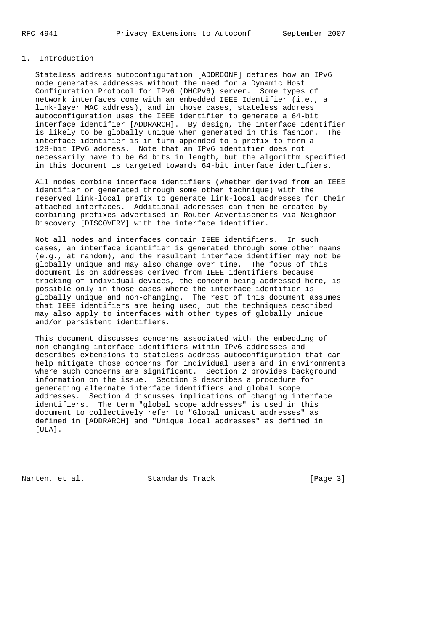# 1. Introduction

 Stateless address autoconfiguration [ADDRCONF] defines how an IPv6 node generates addresses without the need for a Dynamic Host Configuration Protocol for IPv6 (DHCPv6) server. Some types of network interfaces come with an embedded IEEE Identifier (i.e., a link-layer MAC address), and in those cases, stateless address autoconfiguration uses the IEEE identifier to generate a 64-bit interface identifier [ADDRARCH]. By design, the interface identifier is likely to be globally unique when generated in this fashion. The interface identifier is in turn appended to a prefix to form a 128-bit IPv6 address. Note that an IPv6 identifier does not necessarily have to be 64 bits in length, but the algorithm specified in this document is targeted towards 64-bit interface identifiers.

 All nodes combine interface identifiers (whether derived from an IEEE identifier or generated through some other technique) with the reserved link-local prefix to generate link-local addresses for their attached interfaces. Additional addresses can then be created by combining prefixes advertised in Router Advertisements via Neighbor Discovery [DISCOVERY] with the interface identifier.

 Not all nodes and interfaces contain IEEE identifiers. In such cases, an interface identifier is generated through some other means (e.g., at random), and the resultant interface identifier may not be globally unique and may also change over time. The focus of this document is on addresses derived from IEEE identifiers because tracking of individual devices, the concern being addressed here, is possible only in those cases where the interface identifier is globally unique and non-changing. The rest of this document assumes that IEEE identifiers are being used, but the techniques described may also apply to interfaces with other types of globally unique and/or persistent identifiers.

 This document discusses concerns associated with the embedding of non-changing interface identifiers within IPv6 addresses and describes extensions to stateless address autoconfiguration that can help mitigate those concerns for individual users and in environments where such concerns are significant. Section 2 provides background information on the issue. Section 3 describes a procedure for generating alternate interface identifiers and global scope addresses. Section 4 discusses implications of changing interface identifiers. The term "global scope addresses" is used in this document to collectively refer to "Global unicast addresses" as defined in [ADDRARCH] and "Unique local addresses" as defined in [ULA].

Narten, et al. Standards Track [Page 3]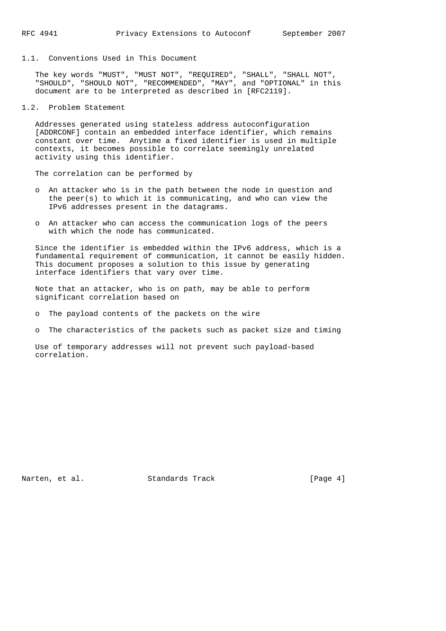# 1.1. Conventions Used in This Document

 The key words "MUST", "MUST NOT", "REQUIRED", "SHALL", "SHALL NOT", "SHOULD", "SHOULD NOT", "RECOMMENDED", "MAY", and "OPTIONAL" in this document are to be interpreted as described in [RFC2119].

### 1.2. Problem Statement

 Addresses generated using stateless address autoconfiguration [ADDRCONF] contain an embedded interface identifier, which remains constant over time. Anytime a fixed identifier is used in multiple contexts, it becomes possible to correlate seemingly unrelated activity using this identifier.

The correlation can be performed by

- o An attacker who is in the path between the node in question and the peer(s) to which it is communicating, and who can view the IPv6 addresses present in the datagrams.
- o An attacker who can access the communication logs of the peers with which the node has communicated.

 Since the identifier is embedded within the IPv6 address, which is a fundamental requirement of communication, it cannot be easily hidden. This document proposes a solution to this issue by generating interface identifiers that vary over time.

 Note that an attacker, who is on path, may be able to perform significant correlation based on

o The payload contents of the packets on the wire

o The characteristics of the packets such as packet size and timing

 Use of temporary addresses will not prevent such payload-based correlation.

Narten, et al. Standards Track [Page 4]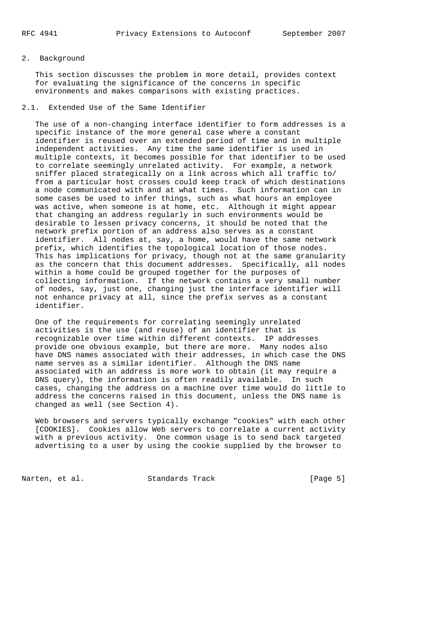# 2. Background

 This section discusses the problem in more detail, provides context for evaluating the significance of the concerns in specific environments and makes comparisons with existing practices.

2.1. Extended Use of the Same Identifier

 The use of a non-changing interface identifier to form addresses is a specific instance of the more general case where a constant identifier is reused over an extended period of time and in multiple independent activities. Any time the same identifier is used in multiple contexts, it becomes possible for that identifier to be used to correlate seemingly unrelated activity. For example, a network sniffer placed strategically on a link across which all traffic to/ from a particular host crosses could keep track of which destinations a node communicated with and at what times. Such information can in some cases be used to infer things, such as what hours an employee was active, when someone is at home, etc. Although it might appear that changing an address regularly in such environments would be desirable to lessen privacy concerns, it should be noted that the network prefix portion of an address also serves as a constant identifier. All nodes at, say, a home, would have the same network prefix, which identifies the topological location of those nodes. This has implications for privacy, though not at the same granularity as the concern that this document addresses. Specifically, all nodes within a home could be grouped together for the purposes of collecting information. If the network contains a very small number of nodes, say, just one, changing just the interface identifier will not enhance privacy at all, since the prefix serves as a constant identifier.

 One of the requirements for correlating seemingly unrelated activities is the use (and reuse) of an identifier that is recognizable over time within different contexts. IP addresses provide one obvious example, but there are more. Many nodes also have DNS names associated with their addresses, in which case the DNS name serves as a similar identifier. Although the DNS name associated with an address is more work to obtain (it may require a DNS query), the information is often readily available. In such cases, changing the address on a machine over time would do little to address the concerns raised in this document, unless the DNS name is changed as well (see Section 4).

 Web browsers and servers typically exchange "cookies" with each other [COOKIES]. Cookies allow Web servers to correlate a current activity with a previous activity. One common usage is to send back targeted advertising to a user by using the cookie supplied by the browser to

Narten, et al. Standards Track [Page 5]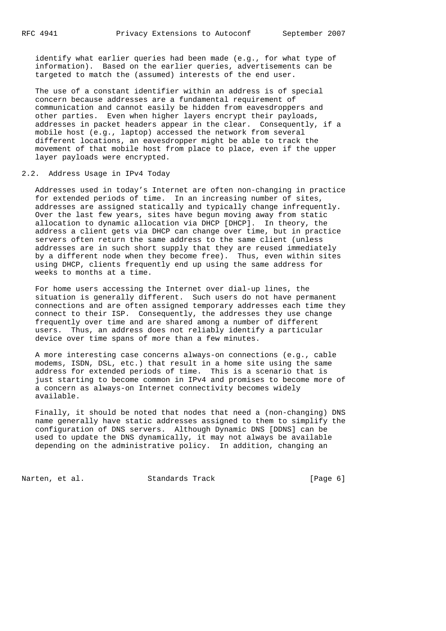identify what earlier queries had been made (e.g., for what type of information). Based on the earlier queries, advertisements can be targeted to match the (assumed) interests of the end user.

 The use of a constant identifier within an address is of special concern because addresses are a fundamental requirement of communication and cannot easily be hidden from eavesdroppers and other parties. Even when higher layers encrypt their payloads, addresses in packet headers appear in the clear. Consequently, if a mobile host (e.g., laptop) accessed the network from several different locations, an eavesdropper might be able to track the movement of that mobile host from place to place, even if the upper layer payloads were encrypted.

## 2.2. Address Usage in IPv4 Today

 Addresses used in today's Internet are often non-changing in practice for extended periods of time. In an increasing number of sites, addresses are assigned statically and typically change infrequently. Over the last few years, sites have begun moving away from static allocation to dynamic allocation via DHCP [DHCP]. In theory, the address a client gets via DHCP can change over time, but in practice servers often return the same address to the same client (unless addresses are in such short supply that they are reused immediately by a different node when they become free). Thus, even within sites using DHCP, clients frequently end up using the same address for weeks to months at a time.

 For home users accessing the Internet over dial-up lines, the situation is generally different. Such users do not have permanent connections and are often assigned temporary addresses each time they connect to their ISP. Consequently, the addresses they use change frequently over time and are shared among a number of different users. Thus, an address does not reliably identify a particular device over time spans of more than a few minutes.

 A more interesting case concerns always-on connections (e.g., cable modems, ISDN, DSL, etc.) that result in a home site using the same address for extended periods of time. This is a scenario that is just starting to become common in IPv4 and promises to become more of a concern as always-on Internet connectivity becomes widely available.

 Finally, it should be noted that nodes that need a (non-changing) DNS name generally have static addresses assigned to them to simplify the configuration of DNS servers. Although Dynamic DNS [DDNS] can be used to update the DNS dynamically, it may not always be available depending on the administrative policy. In addition, changing an

Narten, et al. Standards Track [Page 6]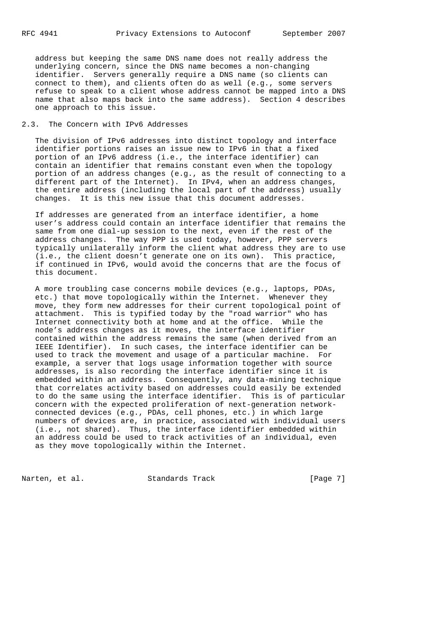address but keeping the same DNS name does not really address the underlying concern, since the DNS name becomes a non-changing identifier. Servers generally require a DNS name (so clients can connect to them), and clients often do as well (e.g., some servers refuse to speak to a client whose address cannot be mapped into a DNS name that also maps back into the same address). Section 4 describes one approach to this issue.

## 2.3. The Concern with IPv6 Addresses

 The division of IPv6 addresses into distinct topology and interface identifier portions raises an issue new to IPv6 in that a fixed portion of an IPv6 address (i.e., the interface identifier) can contain an identifier that remains constant even when the topology portion of an address changes (e.g., as the result of connecting to a different part of the Internet). In IPv4, when an address changes, the entire address (including the local part of the address) usually changes. It is this new issue that this document addresses.

 If addresses are generated from an interface identifier, a home user's address could contain an interface identifier that remains the same from one dial-up session to the next, even if the rest of the address changes. The way PPP is used today, however, PPP servers typically unilaterally inform the client what address they are to use (i.e., the client doesn't generate one on its own). This practice, if continued in IPv6, would avoid the concerns that are the focus of this document.

 A more troubling case concerns mobile devices (e.g., laptops, PDAs, etc.) that move topologically within the Internet. Whenever they move, they form new addresses for their current topological point of attachment. This is typified today by the "road warrior" who has Internet connectivity both at home and at the office. While the node's address changes as it moves, the interface identifier contained within the address remains the same (when derived from an IEEE Identifier). In such cases, the interface identifier can be used to track the movement and usage of a particular machine. For example, a server that logs usage information together with source addresses, is also recording the interface identifier since it is embedded within an address. Consequently, any data-mining technique that correlates activity based on addresses could easily be extended to do the same using the interface identifier. This is of particular concern with the expected proliferation of next-generation network connected devices (e.g., PDAs, cell phones, etc.) in which large numbers of devices are, in practice, associated with individual users (i.e., not shared). Thus, the interface identifier embedded within an address could be used to track activities of an individual, even as they move topologically within the Internet.

Narten, et al. Standards Track [Page 7]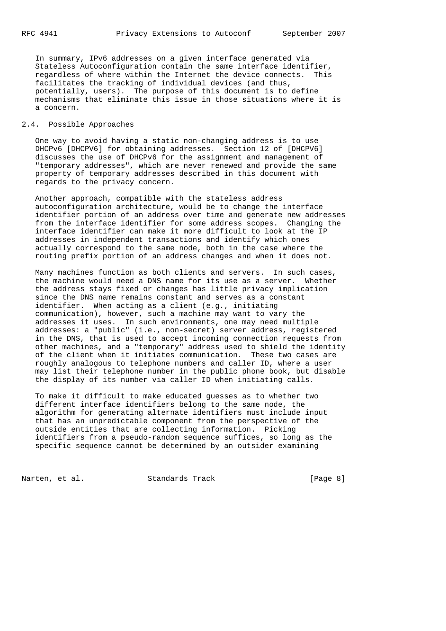In summary, IPv6 addresses on a given interface generated via Stateless Autoconfiguration contain the same interface identifier, regardless of where within the Internet the device connects. This facilitates the tracking of individual devices (and thus, potentially, users). The purpose of this document is to define mechanisms that eliminate this issue in those situations where it is a concern.

# 2.4. Possible Approaches

 One way to avoid having a static non-changing address is to use DHCPv6 [DHCPV6] for obtaining addresses. Section 12 of [DHCPV6] discusses the use of DHCPv6 for the assignment and management of "temporary addresses", which are never renewed and provide the same property of temporary addresses described in this document with regards to the privacy concern.

 Another approach, compatible with the stateless address autoconfiguration architecture, would be to change the interface identifier portion of an address over time and generate new addresses from the interface identifier for some address scopes. Changing the interface identifier can make it more difficult to look at the IP addresses in independent transactions and identify which ones actually correspond to the same node, both in the case where the routing prefix portion of an address changes and when it does not.

 Many machines function as both clients and servers. In such cases, the machine would need a DNS name for its use as a server. Whether the address stays fixed or changes has little privacy implication since the DNS name remains constant and serves as a constant identifier. When acting as a client (e.g., initiating communication), however, such a machine may want to vary the addresses it uses. In such environments, one may need multiple addresses: a "public" (i.e., non-secret) server address, registered in the DNS, that is used to accept incoming connection requests from other machines, and a "temporary" address used to shield the identity of the client when it initiates communication. These two cases are roughly analogous to telephone numbers and caller ID, where a user may list their telephone number in the public phone book, but disable the display of its number via caller ID when initiating calls.

 To make it difficult to make educated guesses as to whether two different interface identifiers belong to the same node, the algorithm for generating alternate identifiers must include input that has an unpredictable component from the perspective of the outside entities that are collecting information. Picking identifiers from a pseudo-random sequence suffices, so long as the specific sequence cannot be determined by an outsider examining

Narten, et al. Standards Track [Page 8]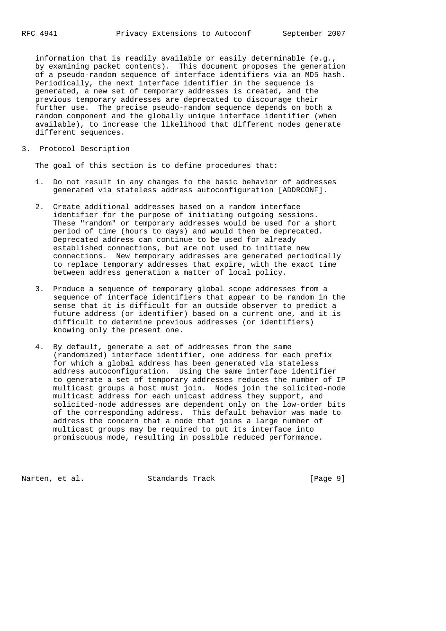information that is readily available or easily determinable (e.g., by examining packet contents). This document proposes the generation of a pseudo-random sequence of interface identifiers via an MD5 hash. Periodically, the next interface identifier in the sequence is generated, a new set of temporary addresses is created, and the previous temporary addresses are deprecated to discourage their further use. The precise pseudo-random sequence depends on both a random component and the globally unique interface identifier (when available), to increase the likelihood that different nodes generate different sequences.

#### 3. Protocol Description

The goal of this section is to define procedures that:

- 1. Do not result in any changes to the basic behavior of addresses generated via stateless address autoconfiguration [ADDRCONF].
- 2. Create additional addresses based on a random interface identifier for the purpose of initiating outgoing sessions. These "random" or temporary addresses would be used for a short period of time (hours to days) and would then be deprecated. Deprecated address can continue to be used for already established connections, but are not used to initiate new connections. New temporary addresses are generated periodically to replace temporary addresses that expire, with the exact time between address generation a matter of local policy.
- 3. Produce a sequence of temporary global scope addresses from a sequence of interface identifiers that appear to be random in the sense that it is difficult for an outside observer to predict a future address (or identifier) based on a current one, and it is difficult to determine previous addresses (or identifiers) knowing only the present one.
- 4. By default, generate a set of addresses from the same (randomized) interface identifier, one address for each prefix for which a global address has been generated via stateless address autoconfiguration. Using the same interface identifier to generate a set of temporary addresses reduces the number of IP multicast groups a host must join. Nodes join the solicited-node multicast address for each unicast address they support, and solicited-node addresses are dependent only on the low-order bits of the corresponding address. This default behavior was made to address the concern that a node that joins a large number of multicast groups may be required to put its interface into promiscuous mode, resulting in possible reduced performance.

Narten, et al. Standards Track [Page 9]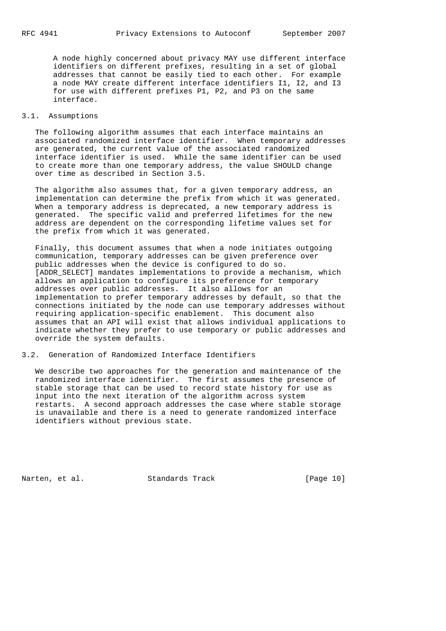A node highly concerned about privacy MAY use different interface identifiers on different prefixes, resulting in a set of global addresses that cannot be easily tied to each other. For example a node MAY create different interface identifiers I1, I2, and I3 for use with different prefixes P1, P2, and P3 on the same interface.

# 3.1. Assumptions

 The following algorithm assumes that each interface maintains an associated randomized interface identifier. When temporary addresses are generated, the current value of the associated randomized interface identifier is used. While the same identifier can be used to create more than one temporary address, the value SHOULD change over time as described in Section 3.5.

 The algorithm also assumes that, for a given temporary address, an implementation can determine the prefix from which it was generated. When a temporary address is deprecated, a new temporary address is generated. The specific valid and preferred lifetimes for the new address are dependent on the corresponding lifetime values set for the prefix from which it was generated.

 Finally, this document assumes that when a node initiates outgoing communication, temporary addresses can be given preference over public addresses when the device is configured to do so. [ADDR\_SELECT] mandates implementations to provide a mechanism, which allows an application to configure its preference for temporary addresses over public addresses. It also allows for an implementation to prefer temporary addresses by default, so that the connections initiated by the node can use temporary addresses without requiring application-specific enablement. This document also assumes that an API will exist that allows individual applications to indicate whether they prefer to use temporary or public addresses and override the system defaults.

#### 3.2. Generation of Randomized Interface Identifiers

 We describe two approaches for the generation and maintenance of the randomized interface identifier. The first assumes the presence of stable storage that can be used to record state history for use as input into the next iteration of the algorithm across system restarts. A second approach addresses the case where stable storage is unavailable and there is a need to generate randomized interface identifiers without previous state.

Narten, et al. Standards Track [Page 10]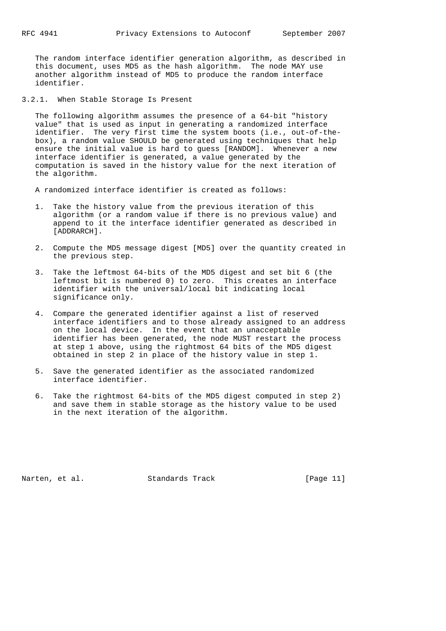The random interface identifier generation algorithm, as described in this document, uses MD5 as the hash algorithm. The node MAY use another algorithm instead of MD5 to produce the random interface identifier.

3.2.1. When Stable Storage Is Present

 The following algorithm assumes the presence of a 64-bit "history value" that is used as input in generating a randomized interface identifier. The very first time the system boots (i.e., out-of-the box), a random value SHOULD be generated using techniques that help ensure the initial value is hard to guess [RANDOM]. Whenever a new interface identifier is generated, a value generated by the computation is saved in the history value for the next iteration of the algorithm.

A randomized interface identifier is created as follows:

- 1. Take the history value from the previous iteration of this algorithm (or a random value if there is no previous value) and append to it the interface identifier generated as described in [ADDRARCH].
- 2. Compute the MD5 message digest [MD5] over the quantity created in the previous step.
- 3. Take the leftmost 64-bits of the MD5 digest and set bit 6 (the leftmost bit is numbered 0) to zero. This creates an interface identifier with the universal/local bit indicating local significance only.
- 4. Compare the generated identifier against a list of reserved interface identifiers and to those already assigned to an address on the local device. In the event that an unacceptable identifier has been generated, the node MUST restart the process at step 1 above, using the rightmost 64 bits of the MD5 digest obtained in step 2 in place of the history value in step 1.
- 5. Save the generated identifier as the associated randomized interface identifier.
- 6. Take the rightmost 64-bits of the MD5 digest computed in step 2) and save them in stable storage as the history value to be used in the next iteration of the algorithm.

Narten, et al. Standards Track [Page 11]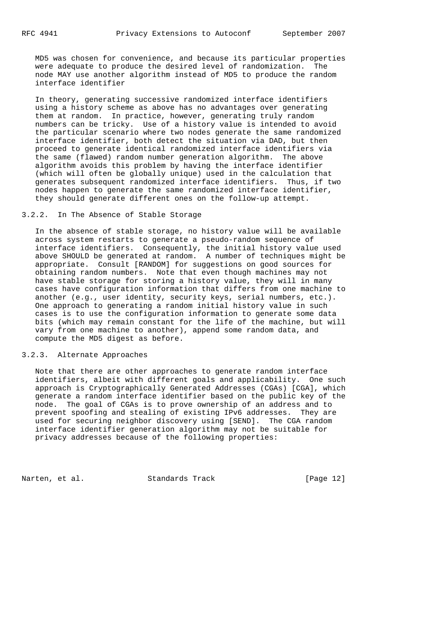MD5 was chosen for convenience, and because its particular properties were adequate to produce the desired level of randomization. The node MAY use another algorithm instead of MD5 to produce the random interface identifier

 In theory, generating successive randomized interface identifiers using a history scheme as above has no advantages over generating them at random. In practice, however, generating truly random numbers can be tricky. Use of a history value is intended to avoid the particular scenario where two nodes generate the same randomized interface identifier, both detect the situation via DAD, but then proceed to generate identical randomized interface identifiers via the same (flawed) random number generation algorithm. The above algorithm avoids this problem by having the interface identifier (which will often be globally unique) used in the calculation that generates subsequent randomized interface identifiers. Thus, if two nodes happen to generate the same randomized interface identifier, they should generate different ones on the follow-up attempt.

# 3.2.2. In The Absence of Stable Storage

 In the absence of stable storage, no history value will be available across system restarts to generate a pseudo-random sequence of interface identifiers. Consequently, the initial history value used above SHOULD be generated at random. A number of techniques might be appropriate. Consult [RANDOM] for suggestions on good sources for obtaining random numbers. Note that even though machines may not have stable storage for storing a history value, they will in many cases have configuration information that differs from one machine to another (e.g., user identity, security keys, serial numbers, etc.). One approach to generating a random initial history value in such cases is to use the configuration information to generate some data bits (which may remain constant for the life of the machine, but will vary from one machine to another), append some random data, and compute the MD5 digest as before.

### 3.2.3. Alternate Approaches

 Note that there are other approaches to generate random interface identifiers, albeit with different goals and applicability. One such approach is Cryptographically Generated Addresses (CGAs) [CGA], which generate a random interface identifier based on the public key of the node. The goal of CGAs is to prove ownership of an address and to prevent spoofing and stealing of existing IPv6 addresses. They are used for securing neighbor discovery using [SEND]. The CGA random interface identifier generation algorithm may not be suitable for privacy addresses because of the following properties:

Narten, et al. Standards Track [Page 12]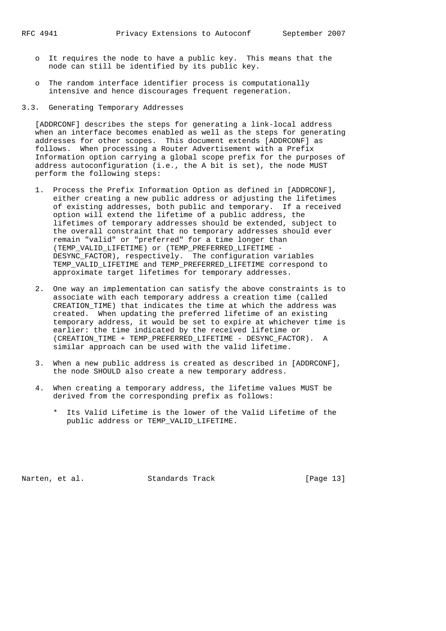- o It requires the node to have a public key. This means that the node can still be identified by its public key.
- o The random interface identifier process is computationally intensive and hence discourages frequent regeneration.
- 3.3. Generating Temporary Addresses

 [ADDRCONF] describes the steps for generating a link-local address when an interface becomes enabled as well as the steps for generating addresses for other scopes. This document extends [ADDRCONF] as follows. When processing a Router Advertisement with a Prefix Information option carrying a global scope prefix for the purposes of address autoconfiguration (i.e., the A bit is set), the node MUST perform the following steps:

- 1. Process the Prefix Information Option as defined in [ADDRCONF], either creating a new public address or adjusting the lifetimes of existing addresses, both public and temporary. If a received option will extend the lifetime of a public address, the lifetimes of temporary addresses should be extended, subject to the overall constraint that no temporary addresses should ever remain "valid" or "preferred" for a time longer than (TEMP\_VALID\_LIFETIME) or (TEMP\_PREFERRED\_LIFETIME - DESYNC\_FACTOR), respectively. The configuration variables TEMP\_VALID\_LIFETIME and TEMP\_PREFERRED\_LIFETIME correspond to approximate target lifetimes for temporary addresses.
- 2. One way an implementation can satisfy the above constraints is to associate with each temporary address a creation time (called CREATION\_TIME) that indicates the time at which the address was created. When updating the preferred lifetime of an existing temporary address, it would be set to expire at whichever time is earlier: the time indicated by the received lifetime or (CREATION TIME + TEMP PREFERRED LIFETIME - DESYNC FACTOR). A similar approach can be used with the valid lifetime.
- 3. When a new public address is created as described in [ADDRCONF], the node SHOULD also create a new temporary address.
- 4. When creating a temporary address, the lifetime values MUST be derived from the corresponding prefix as follows:
	- \* Its Valid Lifetime is the lower of the Valid Lifetime of the public address or TEMP\_VALID\_LIFETIME.

Narten, et al. Standards Track [Page 13]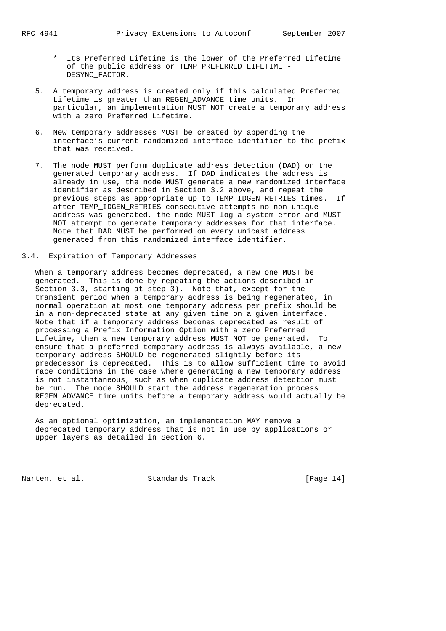- \* Its Preferred Lifetime is the lower of the Preferred Lifetime of the public address or TEMP\_PREFERRED\_LIFETIME - DESYNC\_FACTOR.
- 5. A temporary address is created only if this calculated Preferred Lifetime is greater than REGEN\_ADVANCE time units. In particular, an implementation MUST NOT create a temporary address with a zero Preferred Lifetime.
- 6. New temporary addresses MUST be created by appending the interface's current randomized interface identifier to the prefix that was received.
- 7. The node MUST perform duplicate address detection (DAD) on the generated temporary address. If DAD indicates the address is already in use, the node MUST generate a new randomized interface identifier as described in Section 3.2 above, and repeat the previous steps as appropriate up to TEMP\_IDGEN\_RETRIES times. If after TEMP\_IDGEN\_RETRIES consecutive attempts no non-unique address was generated, the node MUST log a system error and MUST NOT attempt to generate temporary addresses for that interface. Note that DAD MUST be performed on every unicast address generated from this randomized interface identifier.
- 3.4. Expiration of Temporary Addresses

 When a temporary address becomes deprecated, a new one MUST be generated. This is done by repeating the actions described in Section 3.3, starting at step 3). Note that, except for the transient period when a temporary address is being regenerated, in normal operation at most one temporary address per prefix should be in a non-deprecated state at any given time on a given interface. Note that if a temporary address becomes deprecated as result of processing a Prefix Information Option with a zero Preferred Lifetime, then a new temporary address MUST NOT be generated. To ensure that a preferred temporary address is always available, a new temporary address SHOULD be regenerated slightly before its predecessor is deprecated. This is to allow sufficient time to avoid race conditions in the case where generating a new temporary address is not instantaneous, such as when duplicate address detection must be run. The node SHOULD start the address regeneration process REGEN\_ADVANCE time units before a temporary address would actually be deprecated.

 As an optional optimization, an implementation MAY remove a deprecated temporary address that is not in use by applications or upper layers as detailed in Section 6.

Narten, et al. Standards Track [Page 14]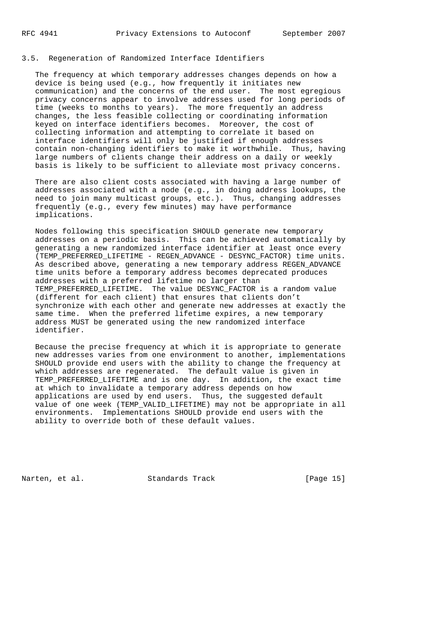## 3.5. Regeneration of Randomized Interface Identifiers

 The frequency at which temporary addresses changes depends on how a device is being used (e.g., how frequently it initiates new communication) and the concerns of the end user. The most egregious privacy concerns appear to involve addresses used for long periods of time (weeks to months to years). The more frequently an address changes, the less feasible collecting or coordinating information keyed on interface identifiers becomes. Moreover, the cost of collecting information and attempting to correlate it based on interface identifiers will only be justified if enough addresses contain non-changing identifiers to make it worthwhile. Thus, having large numbers of clients change their address on a daily or weekly basis is likely to be sufficient to alleviate most privacy concerns.

 There are also client costs associated with having a large number of addresses associated with a node (e.g., in doing address lookups, the need to join many multicast groups, etc.). Thus, changing addresses frequently (e.g., every few minutes) may have performance implications.

 Nodes following this specification SHOULD generate new temporary addresses on a periodic basis. This can be achieved automatically by generating a new randomized interface identifier at least once every (TEMP\_PREFERRED\_LIFETIME - REGEN\_ADVANCE - DESYNC\_FACTOR) time units. As described above, generating a new temporary address REGEN\_ADVANCE time units before a temporary address becomes deprecated produces addresses with a preferred lifetime no larger than TEMP\_PREFERRED\_LIFETIME. The value DESYNC\_FACTOR is a random value (different for each client) that ensures that clients don't synchronize with each other and generate new addresses at exactly the same time. When the preferred lifetime expires, a new temporary address MUST be generated using the new randomized interface identifier.

 Because the precise frequency at which it is appropriate to generate new addresses varies from one environment to another, implementations SHOULD provide end users with the ability to change the frequency at which addresses are regenerated. The default value is given in TEMP\_PREFERRED\_LIFETIME and is one day. In addition, the exact time at which to invalidate a temporary address depends on how applications are used by end users. Thus, the suggested default value of one week (TEMP\_VALID\_LIFETIME) may not be appropriate in all environments. Implementations SHOULD provide end users with the ability to override both of these default values.

Narten, et al. Standards Track [Page 15]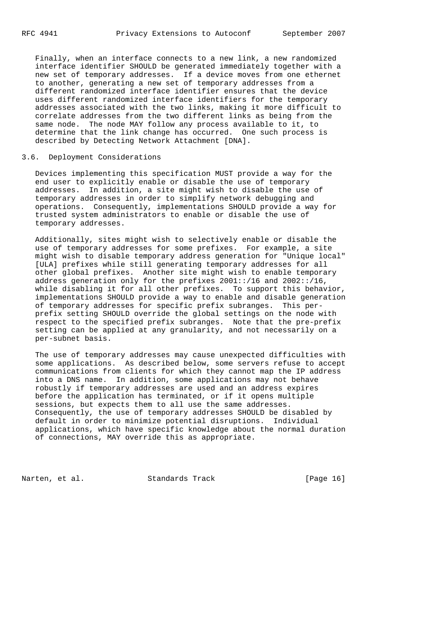Finally, when an interface connects to a new link, a new randomized interface identifier SHOULD be generated immediately together with a new set of temporary addresses. If a device moves from one ethernet to another, generating a new set of temporary addresses from a different randomized interface identifier ensures that the device uses different randomized interface identifiers for the temporary addresses associated with the two links, making it more difficult to correlate addresses from the two different links as being from the same node. The node MAY follow any process available to it, to determine that the link change has occurred. One such process is described by Detecting Network Attachment [DNA].

#### 3.6. Deployment Considerations

 Devices implementing this specification MUST provide a way for the end user to explicitly enable or disable the use of temporary addresses. In addition, a site might wish to disable the use of temporary addresses in order to simplify network debugging and operations. Consequently, implementations SHOULD provide a way for trusted system administrators to enable or disable the use of temporary addresses.

 Additionally, sites might wish to selectively enable or disable the use of temporary addresses for some prefixes. For example, a site might wish to disable temporary address generation for "Unique local" [ULA] prefixes while still generating temporary addresses for all other global prefixes. Another site might wish to enable temporary address generation only for the prefixes  $2001::/16$  and  $2002::/16$ , while disabling it for all other prefixes. To support this behavior, implementations SHOULD provide a way to enable and disable generation of temporary addresses for specific prefix subranges. This per prefix setting SHOULD override the global settings on the node with respect to the specified prefix subranges. Note that the pre-prefix setting can be applied at any granularity, and not necessarily on a per-subnet basis.

 The use of temporary addresses may cause unexpected difficulties with some applications. As described below, some servers refuse to accept communications from clients for which they cannot map the IP address into a DNS name. In addition, some applications may not behave robustly if temporary addresses are used and an address expires before the application has terminated, or if it opens multiple sessions, but expects them to all use the same addresses. Consequently, the use of temporary addresses SHOULD be disabled by default in order to minimize potential disruptions. Individual applications, which have specific knowledge about the normal duration of connections, MAY override this as appropriate.

Narten, et al. Standards Track [Page 16]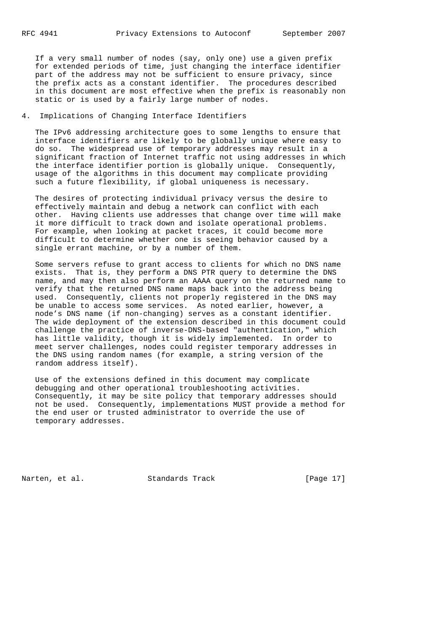If a very small number of nodes (say, only one) use a given prefix for extended periods of time, just changing the interface identifier part of the address may not be sufficient to ensure privacy, since the prefix acts as a constant identifier. The procedures described in this document are most effective when the prefix is reasonably non static or is used by a fairly large number of nodes.

# 4. Implications of Changing Interface Identifiers

 The IPv6 addressing architecture goes to some lengths to ensure that interface identifiers are likely to be globally unique where easy to do so. The widespread use of temporary addresses may result in a significant fraction of Internet traffic not using addresses in which the interface identifier portion is globally unique. Consequently, usage of the algorithms in this document may complicate providing such a future flexibility, if global uniqueness is necessary.

 The desires of protecting individual privacy versus the desire to effectively maintain and debug a network can conflict with each other. Having clients use addresses that change over time will make it more difficult to track down and isolate operational problems. For example, when looking at packet traces, it could become more difficult to determine whether one is seeing behavior caused by a single errant machine, or by a number of them.

 Some servers refuse to grant access to clients for which no DNS name exists. That is, they perform a DNS PTR query to determine the DNS name, and may then also perform an AAAA query on the returned name to verify that the returned DNS name maps back into the address being used. Consequently, clients not properly registered in the DNS may be unable to access some services. As noted earlier, however, a node's DNS name (if non-changing) serves as a constant identifier. The wide deployment of the extension described in this document could challenge the practice of inverse-DNS-based "authentication," which has little validity, though it is widely implemented. In order to meet server challenges, nodes could register temporary addresses in the DNS using random names (for example, a string version of the random address itself).

 Use of the extensions defined in this document may complicate debugging and other operational troubleshooting activities. Consequently, it may be site policy that temporary addresses should not be used. Consequently, implementations MUST provide a method for the end user or trusted administrator to override the use of temporary addresses.

Narten, et al. Standards Track [Page 17]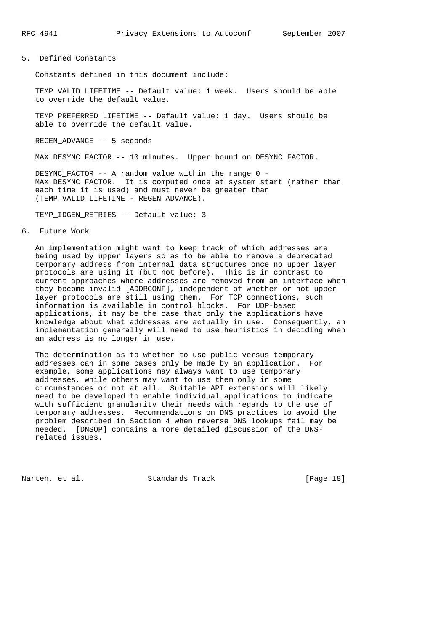### 5. Defined Constants

Constants defined in this document include:

 TEMP\_VALID\_LIFETIME -- Default value: 1 week. Users should be able to override the default value.

TEMP\_PREFERRED\_LIFETIME -- Default value: 1 day. Users should be able to override the default value.

REGEN ADVANCE -- 5 seconds

MAX\_DESYNC\_FACTOR -- 10 minutes. Upper bound on DESYNC\_FACTOR.

DESYNC FACTOR  $-$ - A random value within the range  $0$  - MAX\_DESYNC\_FACTOR. It is computed once at system start (rather than each time it is used) and must never be greater than (TEMP\_VALID\_LIFETIME - REGEN\_ADVANCE).

TEMP\_IDGEN\_RETRIES -- Default value: 3

6. Future Work

 An implementation might want to keep track of which addresses are being used by upper layers so as to be able to remove a deprecated temporary address from internal data structures once no upper layer protocols are using it (but not before). This is in contrast to current approaches where addresses are removed from an interface when they become invalid [ADDRCONF], independent of whether or not upper layer protocols are still using them. For TCP connections, such information is available in control blocks. For UDP-based applications, it may be the case that only the applications have knowledge about what addresses are actually in use. Consequently, an implementation generally will need to use heuristics in deciding when an address is no longer in use.

 The determination as to whether to use public versus temporary addresses can in some cases only be made by an application. For example, some applications may always want to use temporary addresses, while others may want to use them only in some circumstances or not at all. Suitable API extensions will likely need to be developed to enable individual applications to indicate with sufficient granularity their needs with regards to the use of temporary addresses. Recommendations on DNS practices to avoid the problem described in Section 4 when reverse DNS lookups fail may be needed. [DNSOP] contains a more detailed discussion of the DNS related issues.

Narten, et al. Standards Track [Page 18]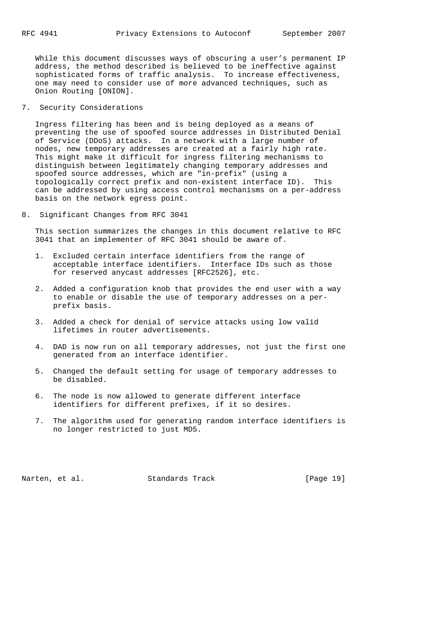While this document discusses ways of obscuring a user's permanent IP address, the method described is believed to be ineffective against sophisticated forms of traffic analysis. To increase effectiveness, one may need to consider use of more advanced techniques, such as Onion Routing [ONION].

7. Security Considerations

 Ingress filtering has been and is being deployed as a means of preventing the use of spoofed source addresses in Distributed Denial of Service (DDoS) attacks. In a network with a large number of nodes, new temporary addresses are created at a fairly high rate. This might make it difficult for ingress filtering mechanisms to distinguish between legitimately changing temporary addresses and spoofed source addresses, which are "in-prefix" (using a topologically correct prefix and non-existent interface ID). This can be addressed by using access control mechanisms on a per-address basis on the network egress point.

8. Significant Changes from RFC 3041

 This section summarizes the changes in this document relative to RFC 3041 that an implementer of RFC 3041 should be aware of.

- 1. Excluded certain interface identifiers from the range of acceptable interface identifiers. Interface IDs such as those for reserved anycast addresses [RFC2526], etc.
- 2. Added a configuration knob that provides the end user with a way to enable or disable the use of temporary addresses on a per prefix basis.
- 3. Added a check for denial of service attacks using low valid lifetimes in router advertisements.
- 4. DAD is now run on all temporary addresses, not just the first one generated from an interface identifier.
- 5. Changed the default setting for usage of temporary addresses to be disabled.
- 6. The node is now allowed to generate different interface identifiers for different prefixes, if it so desires.
- 7. The algorithm used for generating random interface identifiers is no longer restricted to just MD5.

Narten, et al. Standards Track [Page 19]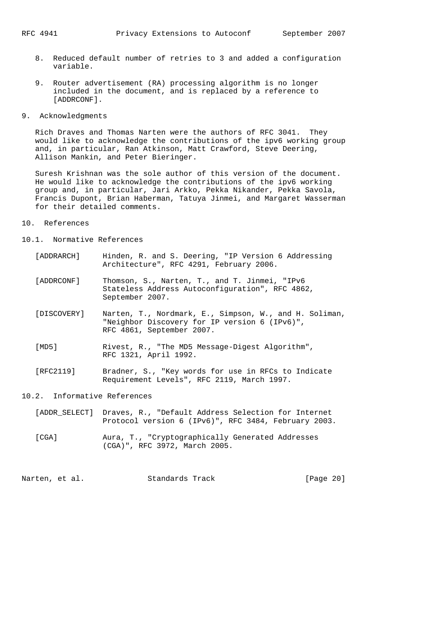- 8. Reduced default number of retries to 3 and added a configuration variable.
- 9. Router advertisement (RA) processing algorithm is no longer included in the document, and is replaced by a reference to [ADDRCONF].

## 9. Acknowledgments

 Rich Draves and Thomas Narten were the authors of RFC 3041. They would like to acknowledge the contributions of the ipv6 working group and, in particular, Ran Atkinson, Matt Crawford, Steve Deering, Allison Mankin, and Peter Bieringer.

 Suresh Krishnan was the sole author of this version of the document. He would like to acknowledge the contributions of the ipv6 working group and, in particular, Jari Arkko, Pekka Nikander, Pekka Savola, Francis Dupont, Brian Haberman, Tatuya Jinmei, and Margaret Wasserman for their detailed comments.

### 10. References

### 10.1. Normative References

- [ADDRARCH] Hinden, R. and S. Deering, "IP Version 6 Addressing Architecture", RFC 4291, February 2006.
- [ADDRCONF] Thomson, S., Narten, T., and T. Jinmei, "IPv6 Stateless Address Autoconfiguration", RFC 4862, September 2007.
- [DISCOVERY] Narten, T., Nordmark, E., Simpson, W., and H. Soliman, "Neighbor Discovery for IP version 6 (IPv6)", RFC 4861, September 2007.
- [MD5] Rivest, R., "The MD5 Message-Digest Algorithm", RFC 1321, April 1992.
- [RFC2119] Bradner, S., "Key words for use in RFCs to Indicate Requirement Levels", RFC 2119, March 1997.

### 10.2. Informative References

- [ADDR\_SELECT] Draves, R., "Default Address Selection for Internet Protocol version 6 (IPv6)", RFC 3484, February 2003.
- [CGA] Aura, T., "Cryptographically Generated Addresses (CGA)", RFC 3972, March 2005.

| [Page 20]<br>Standards Track<br>Narten, et al. |  |
|------------------------------------------------|--|
|------------------------------------------------|--|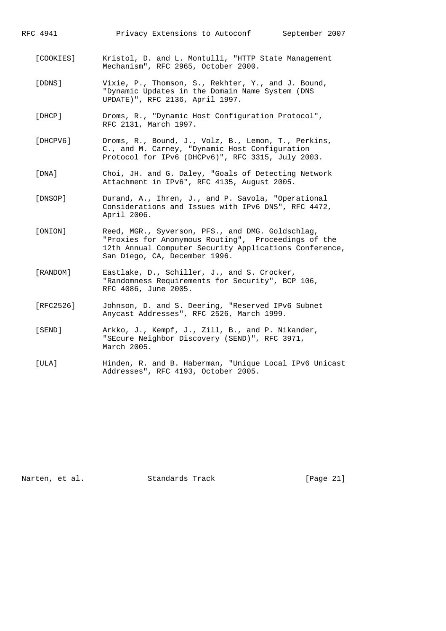RFC 4941 Privacy Extensions to Autoconf September 2007

- [COOKIES] Kristol, D. and L. Montulli, "HTTP State Management Mechanism", RFC 2965, October 2000.
- [DDNS] Vixie, P., Thomson, S., Rekhter, Y., and J. Bound, "Dynamic Updates in the Domain Name System (DNS UPDATE)", RFC 2136, April 1997.
- [DHCP] Droms, R., "Dynamic Host Configuration Protocol", RFC 2131, March 1997.
- [DHCPV6] Droms, R., Bound, J., Volz, B., Lemon, T., Perkins, C., and M. Carney, "Dynamic Host Configuration Protocol for IPv6 (DHCPv6)", RFC 3315, July 2003.
- [DNA] Choi, JH. and G. Daley, "Goals of Detecting Network Attachment in IPv6", RFC 4135, August 2005.
- [DNSOP] Durand, A., Ihren, J., and P. Savola, "Operational Considerations and Issues with IPv6 DNS", RFC 4472, April 2006.
- [ONION] Reed, MGR., Syverson, PFS., and DMG. Goldschlag, "Proxies for Anonymous Routing", Proceedings of the 12th Annual Computer Security Applications Conference, San Diego, CA, December 1996.
- [RANDOM] Eastlake, D., Schiller, J., and S. Crocker, "Randomness Requirements for Security", BCP 106, RFC 4086, June 2005.
- [RFC2526] Johnson, D. and S. Deering, "Reserved IPv6 Subnet Anycast Addresses", RFC 2526, March 1999.
- [SEND] Arkko, J., Kempf, J., Zill, B., and P. Nikander, "SEcure Neighbor Discovery (SEND)", RFC 3971, March 2005.
- [ULA] Hinden, R. and B. Haberman, "Unique Local IPv6 Unicast Addresses", RFC 4193, October 2005.

Narten, et al. Standards Track [Page 21]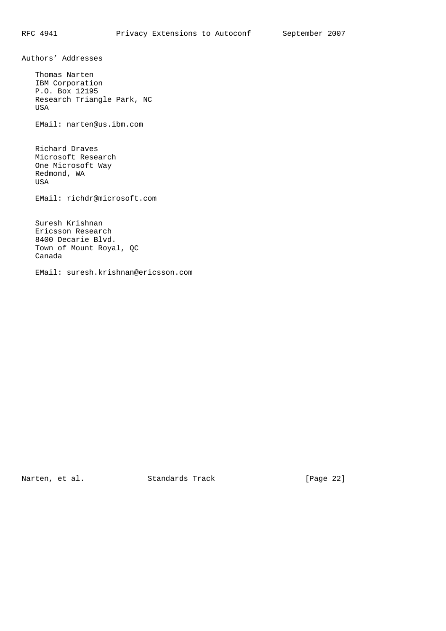Authors' Addresses

 Thomas Narten IBM Corporation P.O. Box 12195 Research Triangle Park, NC USA

EMail: narten@us.ibm.com

 Richard Draves Microsoft Research One Microsoft Way Redmond, WA USA

EMail: richdr@microsoft.com

 Suresh Krishnan Ericsson Research 8400 Decarie Blvd. Town of Mount Royal, QC Canada

EMail: suresh.krishnan@ericsson.com

Narten, et al. Standards Track [Page 22]